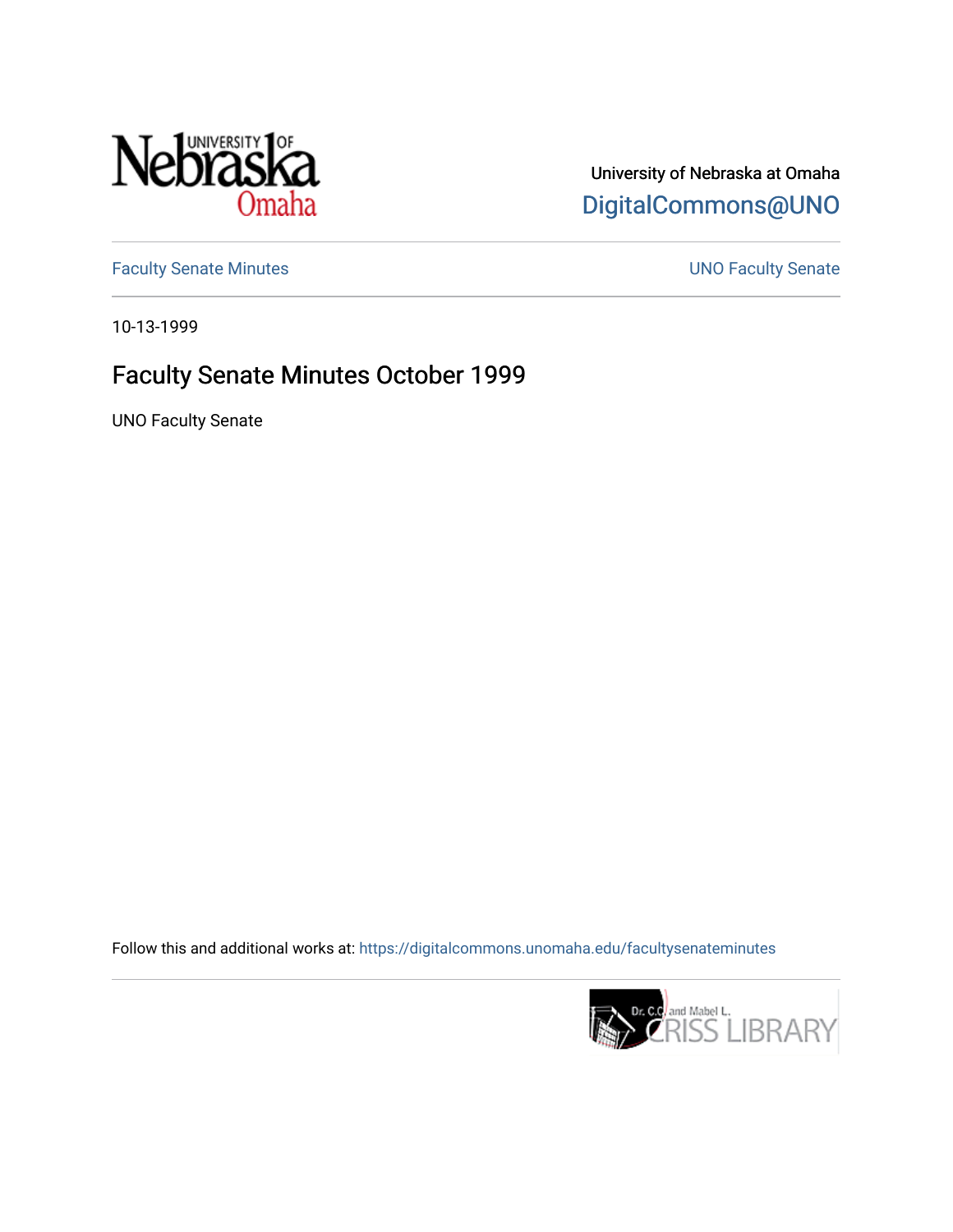

University of Nebraska at Omaha [DigitalCommons@UNO](https://digitalcommons.unomaha.edu/) 

[Faculty Senate Minutes](https://digitalcommons.unomaha.edu/facultysenateminutes) **Exercise Senate UNO Faculty Senate** 

10-13-1999

# Faculty Senate Minutes October 1999

UNO Faculty Senate

Follow this and additional works at: [https://digitalcommons.unomaha.edu/facultysenateminutes](https://digitalcommons.unomaha.edu/facultysenateminutes?utm_source=digitalcommons.unomaha.edu%2Ffacultysenateminutes%2F73&utm_medium=PDF&utm_campaign=PDFCoverPages) 

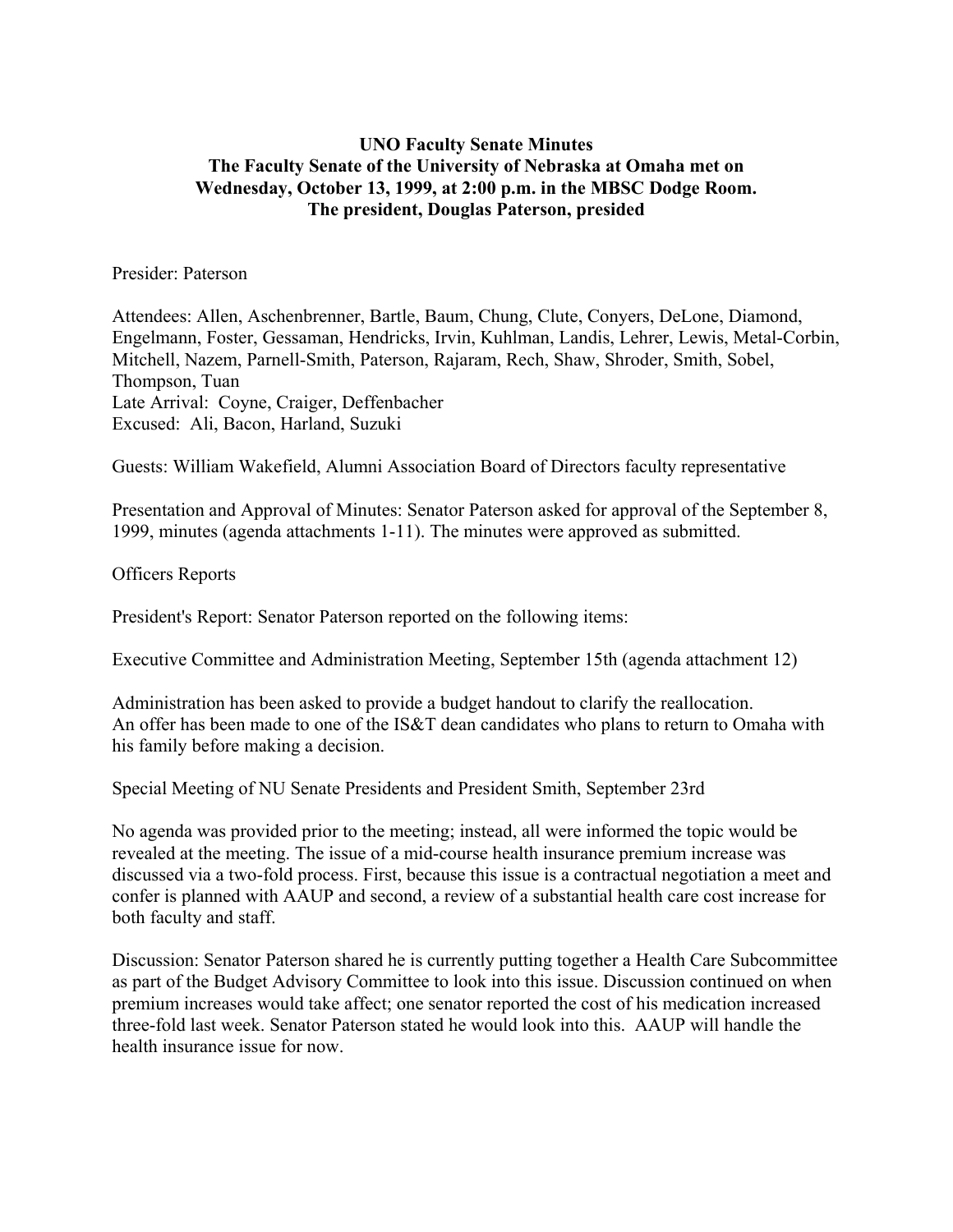## **UNO Faculty Senate Minutes The Faculty Senate of the University of Nebraska at Omaha met on Wednesday, October 13, 1999, at 2:00 p.m. in the MBSC Dodge Room. The president, Douglas Paterson, presided**

#### Presider: Paterson

Attendees: Allen, Aschenbrenner, Bartle, Baum, Chung, Clute, Conyers, DeLone, Diamond, Engelmann, Foster, Gessaman, Hendricks, Irvin, Kuhlman, Landis, Lehrer, Lewis, Metal-Corbin, Mitchell, Nazem, Parnell-Smith, Paterson, Rajaram, Rech, Shaw, Shroder, Smith, Sobel, Thompson, Tuan Late Arrival: Coyne, Craiger, Deffenbacher Excused: Ali, Bacon, Harland, Suzuki

Guests: William Wakefield, Alumni Association Board of Directors faculty representative

Presentation and Approval of Minutes: Senator Paterson asked for approval of the September 8, 1999, minutes (agenda attachments 1-11). The minutes were approved as submitted.

#### Officers Reports

President's Report: Senator Paterson reported on the following items:

Executive Committee and Administration Meeting, September 15th (agenda attachment 12)

Administration has been asked to provide a budget handout to clarify the reallocation. An offer has been made to one of the IS&T dean candidates who plans to return to Omaha with his family before making a decision.

Special Meeting of NU Senate Presidents and President Smith, September 23rd

No agenda was provided prior to the meeting; instead, all were informed the topic would be revealed at the meeting. The issue of a mid-course health insurance premium increase was discussed via a two-fold process. First, because this issue is a contractual negotiation a meet and confer is planned with AAUP and second, a review of a substantial health care cost increase for both faculty and staff.

Discussion: Senator Paterson shared he is currently putting together a Health Care Subcommittee as part of the Budget Advisory Committee to look into this issue. Discussion continued on when premium increases would take affect; one senator reported the cost of his medication increased three-fold last week. Senator Paterson stated he would look into this. AAUP will handle the health insurance issue for now.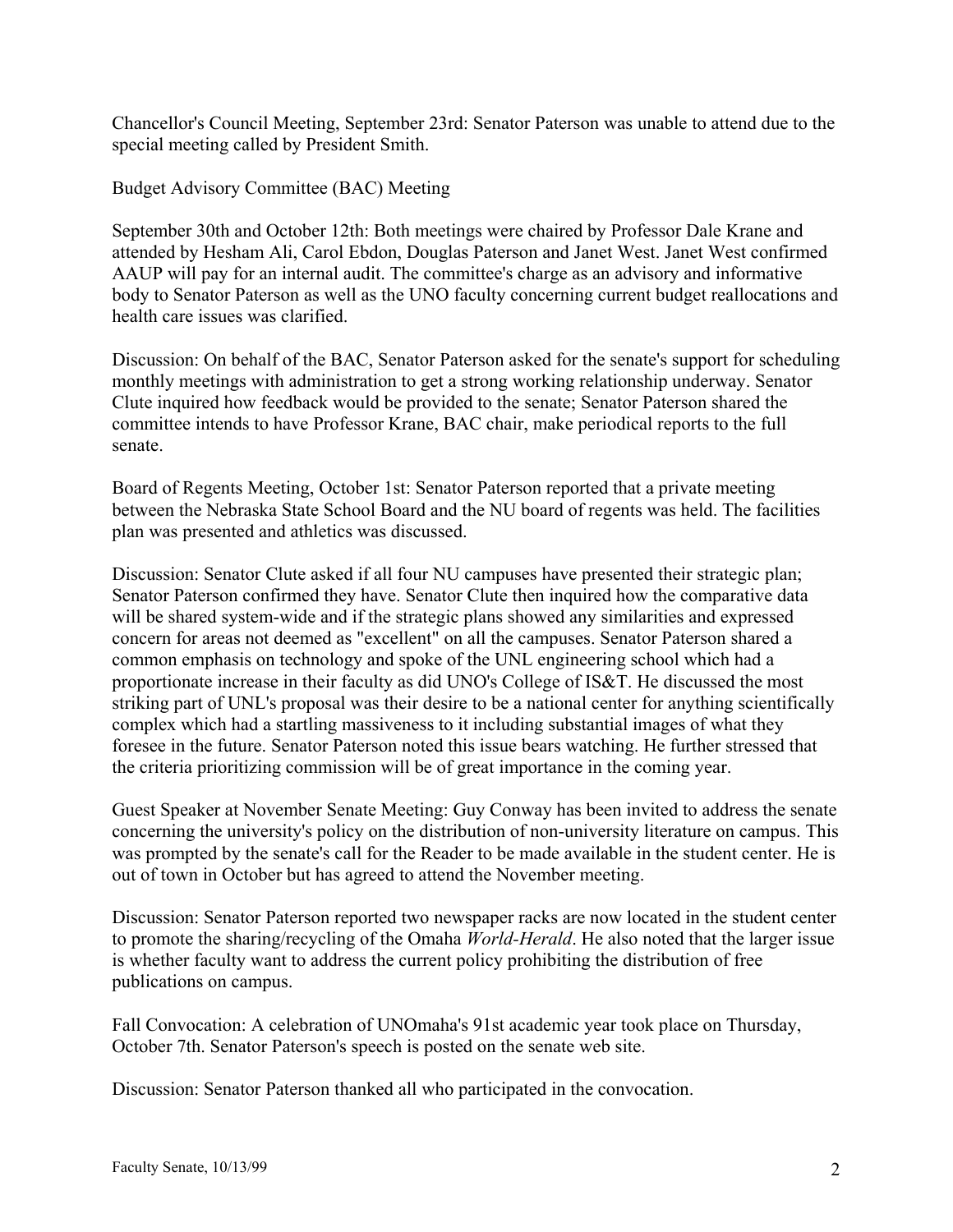Chancellor's Council Meeting, September 23rd: Senator Paterson was unable to attend due to the special meeting called by President Smith.

Budget Advisory Committee (BAC) Meeting

September 30th and October 12th: Both meetings were chaired by Professor Dale Krane and attended by Hesham Ali, Carol Ebdon, Douglas Paterson and Janet West. Janet West confirmed AAUP will pay for an internal audit. The committee's charge as an advisory and informative body to Senator Paterson as well as the UNO faculty concerning current budget reallocations and health care issues was clarified.

Discussion: On behalf of the BAC, Senator Paterson asked for the senate's support for scheduling monthly meetings with administration to get a strong working relationship underway. Senator Clute inquired how feedback would be provided to the senate; Senator Paterson shared the committee intends to have Professor Krane, BAC chair, make periodical reports to the full senate.

Board of Regents Meeting, October 1st: Senator Paterson reported that a private meeting between the Nebraska State School Board and the NU board of regents was held. The facilities plan was presented and athletics was discussed.

Discussion: Senator Clute asked if all four NU campuses have presented their strategic plan; Senator Paterson confirmed they have. Senator Clute then inquired how the comparative data will be shared system-wide and if the strategic plans showed any similarities and expressed concern for areas not deemed as "excellent" on all the campuses. Senator Paterson shared a common emphasis on technology and spoke of the UNL engineering school which had a proportionate increase in their faculty as did UNO's College of IS&T. He discussed the most striking part of UNL's proposal was their desire to be a national center for anything scientifically complex which had a startling massiveness to it including substantial images of what they foresee in the future. Senator Paterson noted this issue bears watching. He further stressed that the criteria prioritizing commission will be of great importance in the coming year.

Guest Speaker at November Senate Meeting: Guy Conway has been invited to address the senate concerning the university's policy on the distribution of non-university literature on campus. This was prompted by the senate's call for the Reader to be made available in the student center. He is out of town in October but has agreed to attend the November meeting.

Discussion: Senator Paterson reported two newspaper racks are now located in the student center to promote the sharing/recycling of the Omaha *World-Herald*. He also noted that the larger issue is whether faculty want to address the current policy prohibiting the distribution of free publications on campus.

Fall Convocation: A celebration of UNOmaha's 91st academic year took place on Thursday, October 7th. Senator Paterson's speech is posted on the senate web site.

Discussion: Senator Paterson thanked all who participated in the convocation.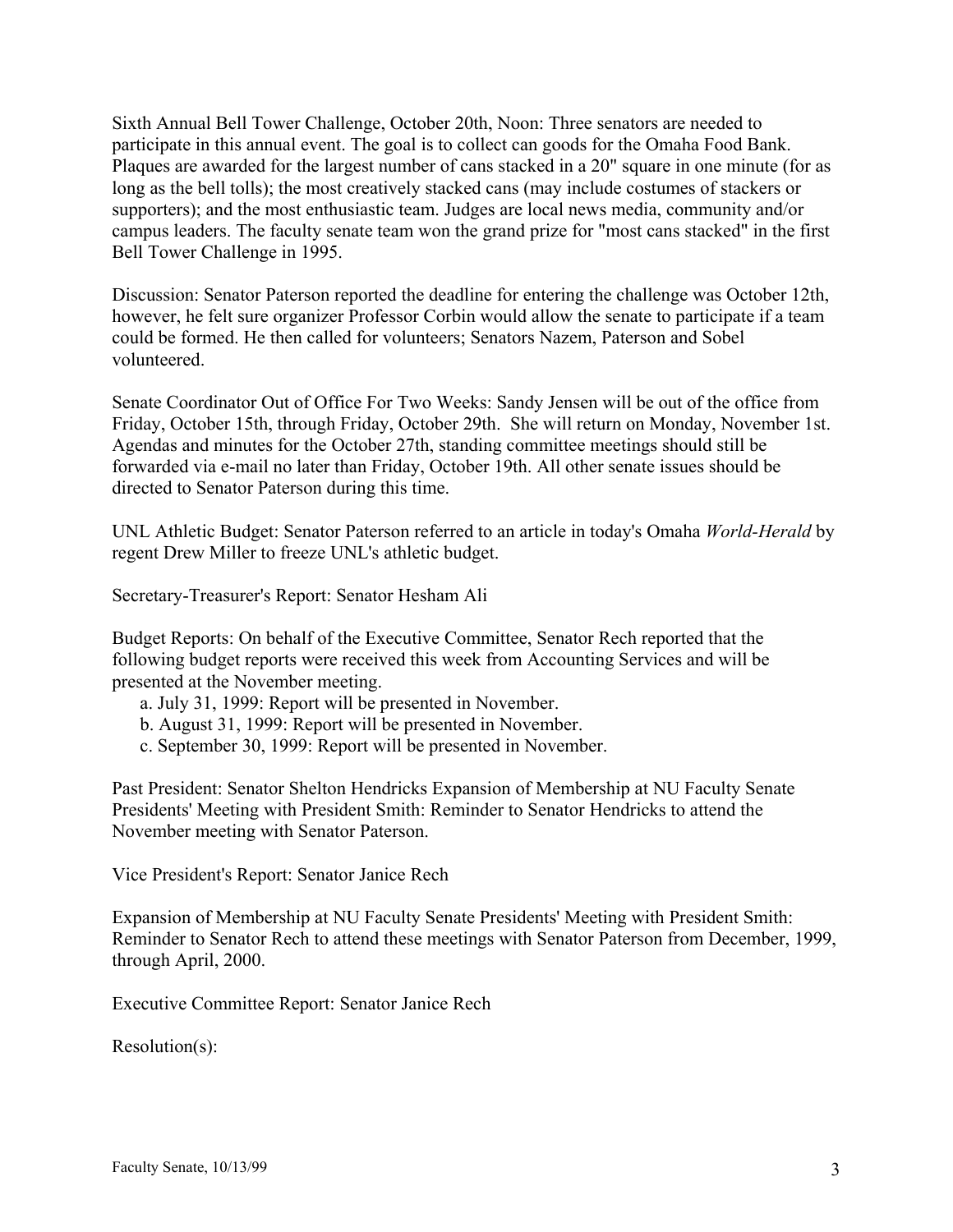Sixth Annual Bell Tower Challenge, October 20th, Noon: Three senators are needed to participate in this annual event. The goal is to collect can goods for the Omaha Food Bank. Plaques are awarded for the largest number of cans stacked in a 20" square in one minute (for as long as the bell tolls); the most creatively stacked cans (may include costumes of stackers or supporters); and the most enthusiastic team. Judges are local news media, community and/or campus leaders. The faculty senate team won the grand prize for "most cans stacked" in the first Bell Tower Challenge in 1995.

Discussion: Senator Paterson reported the deadline for entering the challenge was October 12th, however, he felt sure organizer Professor Corbin would allow the senate to participate if a team could be formed. He then called for volunteers; Senators Nazem, Paterson and Sobel volunteered.

Senate Coordinator Out of Office For Two Weeks: Sandy Jensen will be out of the office from Friday, October 15th, through Friday, October 29th. She will return on Monday, November 1st. Agendas and minutes for the October 27th, standing committee meetings should still be forwarded via e-mail no later than Friday, October 19th. All other senate issues should be directed to Senator Paterson during this time.

UNL Athletic Budget: Senator Paterson referred to an article in today's Omaha *World-Herald* by regent Drew Miller to freeze UNL's athletic budget.

Secretary-Treasurer's Report: Senator Hesham Ali

Budget Reports: On behalf of the Executive Committee, Senator Rech reported that the following budget reports were received this week from Accounting Services and will be presented at the November meeting.

- a. July 31, 1999: Report will be presented in November.
- b. August 31, 1999: Report will be presented in November.
- c. September 30, 1999: Report will be presented in November.

Past President: Senator Shelton Hendricks Expansion of Membership at NU Faculty Senate Presidents' Meeting with President Smith: Reminder to Senator Hendricks to attend the November meeting with Senator Paterson.

Vice President's Report: Senator Janice Rech

Expansion of Membership at NU Faculty Senate Presidents' Meeting with President Smith: Reminder to Senator Rech to attend these meetings with Senator Paterson from December, 1999, through April, 2000.

Executive Committee Report: Senator Janice Rech

Resolution(s):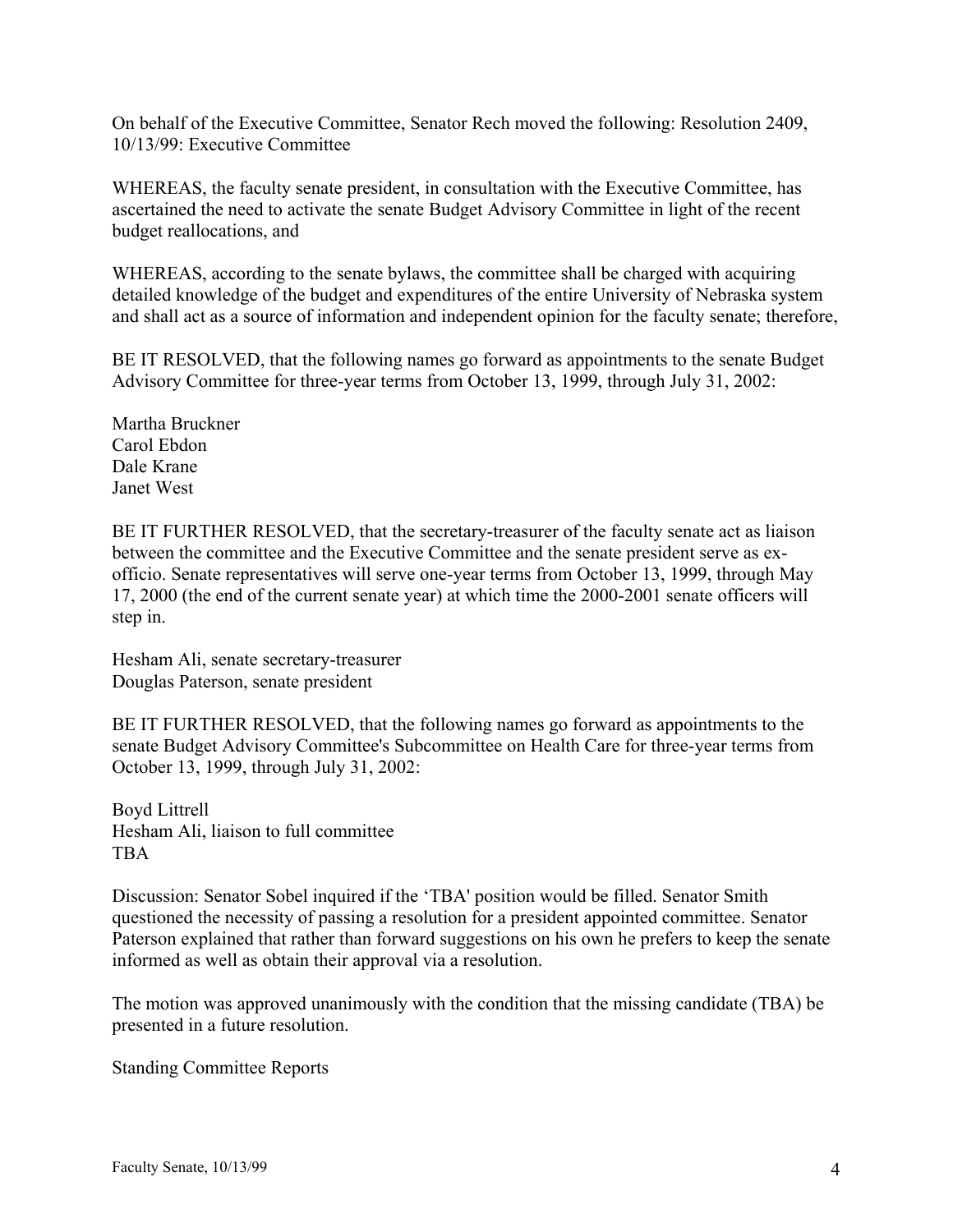On behalf of the Executive Committee, Senator Rech moved the following: Resolution 2409, 10/13/99: Executive Committee

WHEREAS, the faculty senate president, in consultation with the Executive Committee, has ascertained the need to activate the senate Budget Advisory Committee in light of the recent budget reallocations, and

WHEREAS, according to the senate bylaws, the committee shall be charged with acquiring detailed knowledge of the budget and expenditures of the entire University of Nebraska system and shall act as a source of information and independent opinion for the faculty senate; therefore,

BE IT RESOLVED, that the following names go forward as appointments to the senate Budget Advisory Committee for three-year terms from October 13, 1999, through July 31, 2002:

Martha Bruckner Carol Ebdon Dale Krane Janet West

BE IT FURTHER RESOLVED, that the secretary-treasurer of the faculty senate act as liaison between the committee and the Executive Committee and the senate president serve as exofficio. Senate representatives will serve one-year terms from October 13, 1999, through May 17, 2000 (the end of the current senate year) at which time the 2000-2001 senate officers will step in.

Hesham Ali, senate secretary-treasurer Douglas Paterson, senate president

BE IT FURTHER RESOLVED, that the following names go forward as appointments to the senate Budget Advisory Committee's Subcommittee on Health Care for three-year terms from October 13, 1999, through July 31, 2002:

Boyd Littrell Hesham Ali, liaison to full committee **TBA** 

Discussion: Senator Sobel inquired if the 'TBA' position would be filled. Senator Smith questioned the necessity of passing a resolution for a president appointed committee. Senator Paterson explained that rather than forward suggestions on his own he prefers to keep the senate informed as well as obtain their approval via a resolution.

The motion was approved unanimously with the condition that the missing candidate (TBA) be presented in a future resolution.

Standing Committee Reports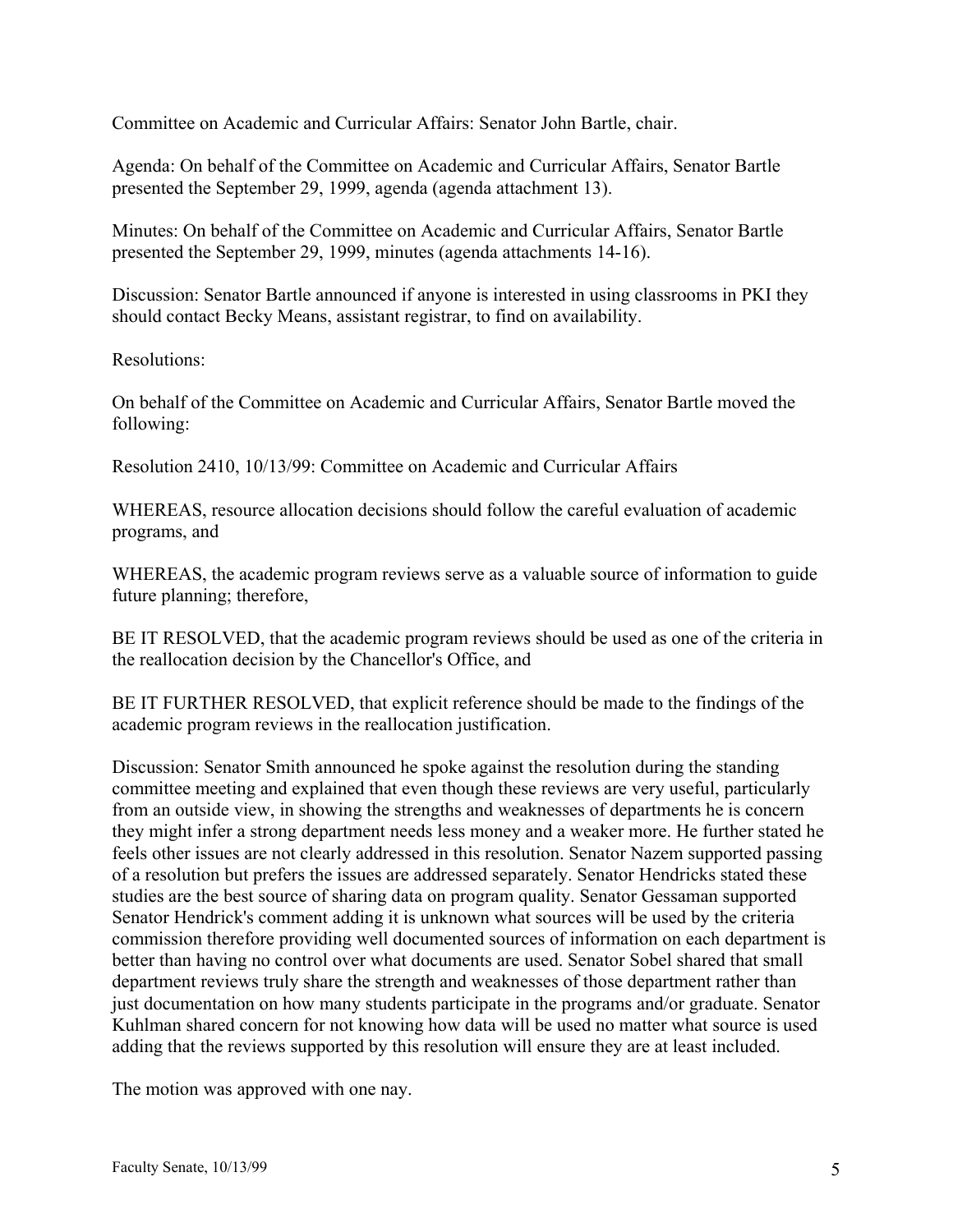Committee on Academic and Curricular Affairs: Senator John Bartle, chair.

Agenda: On behalf of the Committee on Academic and Curricular Affairs, Senator Bartle presented the September 29, 1999, agenda (agenda attachment 13).

Minutes: On behalf of the Committee on Academic and Curricular Affairs, Senator Bartle presented the September 29, 1999, minutes (agenda attachments 14-16).

Discussion: Senator Bartle announced if anyone is interested in using classrooms in PKI they should contact Becky Means, assistant registrar, to find on availability.

Resolutions:

On behalf of the Committee on Academic and Curricular Affairs, Senator Bartle moved the following:

Resolution 2410, 10/13/99: Committee on Academic and Curricular Affairs

WHEREAS, resource allocation decisions should follow the careful evaluation of academic programs, and

WHEREAS, the academic program reviews serve as a valuable source of information to guide future planning; therefore,

BE IT RESOLVED, that the academic program reviews should be used as one of the criteria in the reallocation decision by the Chancellor's Office, and

BE IT FURTHER RESOLVED, that explicit reference should be made to the findings of the academic program reviews in the reallocation justification.

Discussion: Senator Smith announced he spoke against the resolution during the standing committee meeting and explained that even though these reviews are very useful, particularly from an outside view, in showing the strengths and weaknesses of departments he is concern they might infer a strong department needs less money and a weaker more. He further stated he feels other issues are not clearly addressed in this resolution. Senator Nazem supported passing of a resolution but prefers the issues are addressed separately. Senator Hendricks stated these studies are the best source of sharing data on program quality. Senator Gessaman supported Senator Hendrick's comment adding it is unknown what sources will be used by the criteria commission therefore providing well documented sources of information on each department is better than having no control over what documents are used. Senator Sobel shared that small department reviews truly share the strength and weaknesses of those department rather than just documentation on how many students participate in the programs and/or graduate. Senator Kuhlman shared concern for not knowing how data will be used no matter what source is used adding that the reviews supported by this resolution will ensure they are at least included.

The motion was approved with one nay.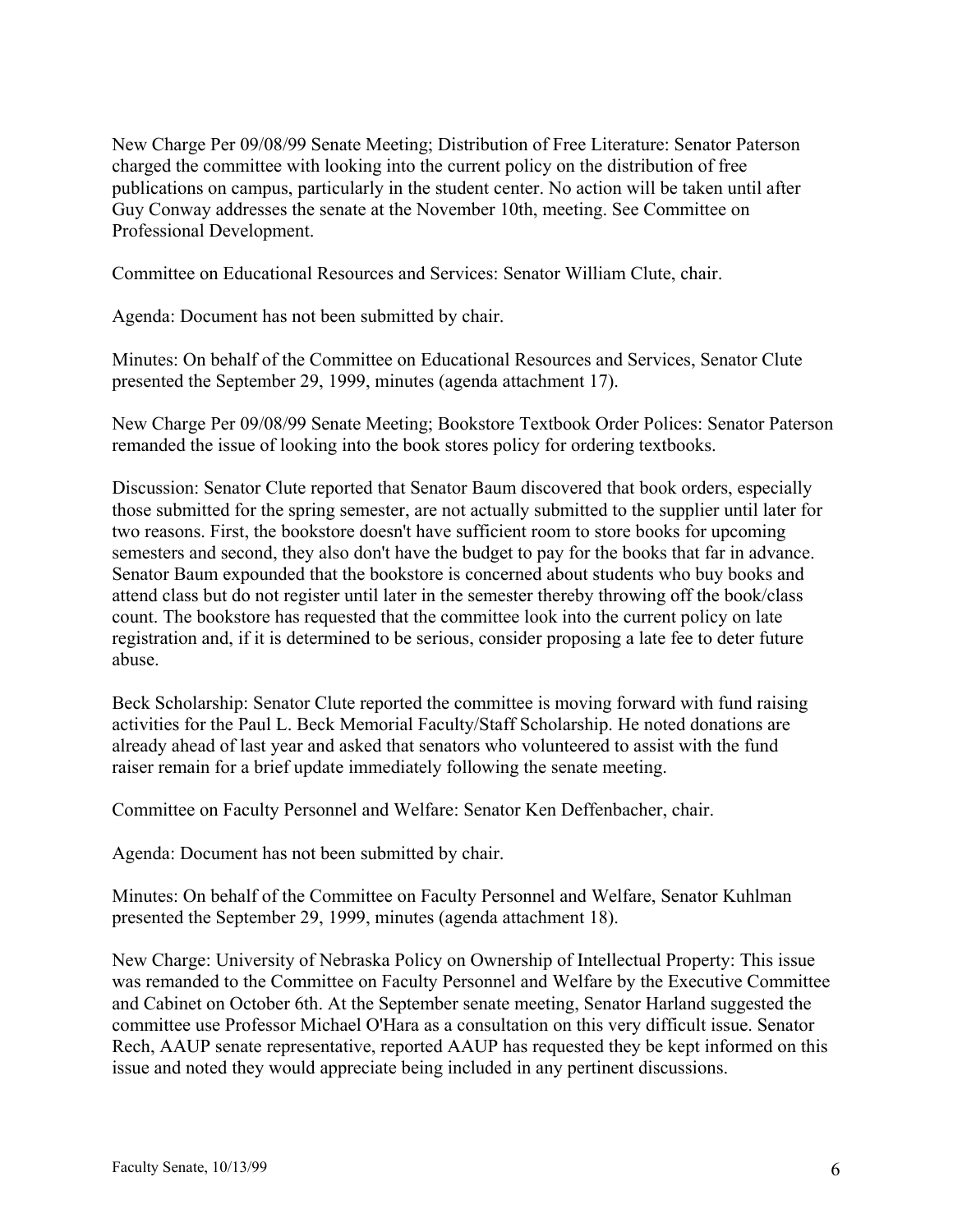New Charge Per 09/08/99 Senate Meeting; Distribution of Free Literature: Senator Paterson charged the committee with looking into the current policy on the distribution of free publications on campus, particularly in the student center. No action will be taken until after Guy Conway addresses the senate at the November 10th, meeting. See Committee on Professional Development.

Committee on Educational Resources and Services: Senator William Clute, chair.

Agenda: Document has not been submitted by chair.

Minutes: On behalf of the Committee on Educational Resources and Services, Senator Clute presented the September 29, 1999, minutes (agenda attachment 17).

New Charge Per 09/08/99 Senate Meeting; Bookstore Textbook Order Polices: Senator Paterson remanded the issue of looking into the book stores policy for ordering textbooks.

Discussion: Senator Clute reported that Senator Baum discovered that book orders, especially those submitted for the spring semester, are not actually submitted to the supplier until later for two reasons. First, the bookstore doesn't have sufficient room to store books for upcoming semesters and second, they also don't have the budget to pay for the books that far in advance. Senator Baum expounded that the bookstore is concerned about students who buy books and attend class but do not register until later in the semester thereby throwing off the book/class count. The bookstore has requested that the committee look into the current policy on late registration and, if it is determined to be serious, consider proposing a late fee to deter future abuse.

Beck Scholarship: Senator Clute reported the committee is moving forward with fund raising activities for the Paul L. Beck Memorial Faculty/Staff Scholarship. He noted donations are already ahead of last year and asked that senators who volunteered to assist with the fund raiser remain for a brief update immediately following the senate meeting.

Committee on Faculty Personnel and Welfare: Senator Ken Deffenbacher, chair.

Agenda: Document has not been submitted by chair.

Minutes: On behalf of the Committee on Faculty Personnel and Welfare, Senator Kuhlman presented the September 29, 1999, minutes (agenda attachment 18).

New Charge: University of Nebraska Policy on Ownership of Intellectual Property: This issue was remanded to the Committee on Faculty Personnel and Welfare by the Executive Committee and Cabinet on October 6th. At the September senate meeting, Senator Harland suggested the committee use Professor Michael O'Hara as a consultation on this very difficult issue. Senator Rech, AAUP senate representative, reported AAUP has requested they be kept informed on this issue and noted they would appreciate being included in any pertinent discussions.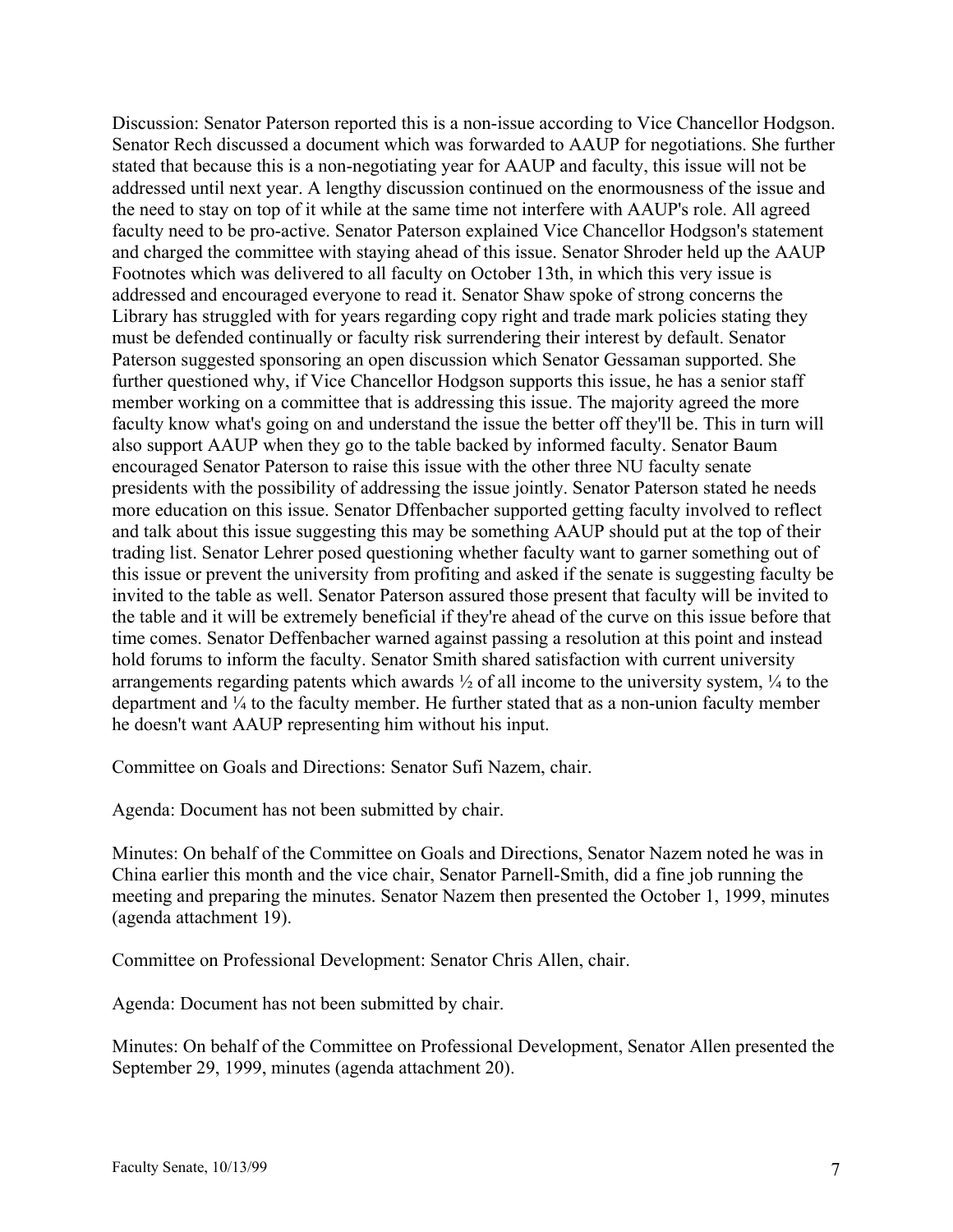Discussion: Senator Paterson reported this is a non-issue according to Vice Chancellor Hodgson. Senator Rech discussed a document which was forwarded to AAUP for negotiations. She further stated that because this is a non-negotiating year for AAUP and faculty, this issue will not be addressed until next year. A lengthy discussion continued on the enormousness of the issue and the need to stay on top of it while at the same time not interfere with AAUP's role. All agreed faculty need to be pro-active. Senator Paterson explained Vice Chancellor Hodgson's statement and charged the committee with staying ahead of this issue. Senator Shroder held up the AAUP Footnotes which was delivered to all faculty on October 13th, in which this very issue is addressed and encouraged everyone to read it. Senator Shaw spoke of strong concerns the Library has struggled with for years regarding copy right and trade mark policies stating they must be defended continually or faculty risk surrendering their interest by default. Senator Paterson suggested sponsoring an open discussion which Senator Gessaman supported. She further questioned why, if Vice Chancellor Hodgson supports this issue, he has a senior staff member working on a committee that is addressing this issue. The majority agreed the more faculty know what's going on and understand the issue the better off they'll be. This in turn will also support AAUP when they go to the table backed by informed faculty. Senator Baum encouraged Senator Paterson to raise this issue with the other three NU faculty senate presidents with the possibility of addressing the issue jointly. Senator Paterson stated he needs more education on this issue. Senator Dffenbacher supported getting faculty involved to reflect and talk about this issue suggesting this may be something AAUP should put at the top of their trading list. Senator Lehrer posed questioning whether faculty want to garner something out of this issue or prevent the university from profiting and asked if the senate is suggesting faculty be invited to the table as well. Senator Paterson assured those present that faculty will be invited to the table and it will be extremely beneficial if they're ahead of the curve on this issue before that time comes. Senator Deffenbacher warned against passing a resolution at this point and instead hold forums to inform the faculty. Senator Smith shared satisfaction with current university arrangements regarding patents which awards  $\frac{1}{2}$  of all income to the university system,  $\frac{1}{4}$  to the department and ¼ to the faculty member. He further stated that as a non-union faculty member he doesn't want AAUP representing him without his input.

Committee on Goals and Directions: Senator Sufi Nazem, chair.

Agenda: Document has not been submitted by chair.

Minutes: On behalf of the Committee on Goals and Directions, Senator Nazem noted he was in China earlier this month and the vice chair, Senator Parnell-Smith, did a fine job running the meeting and preparing the minutes. Senator Nazem then presented the October 1, 1999, minutes (agenda attachment 19).

Committee on Professional Development: Senator Chris Allen, chair.

Agenda: Document has not been submitted by chair.

Minutes: On behalf of the Committee on Professional Development, Senator Allen presented the September 29, 1999, minutes (agenda attachment 20).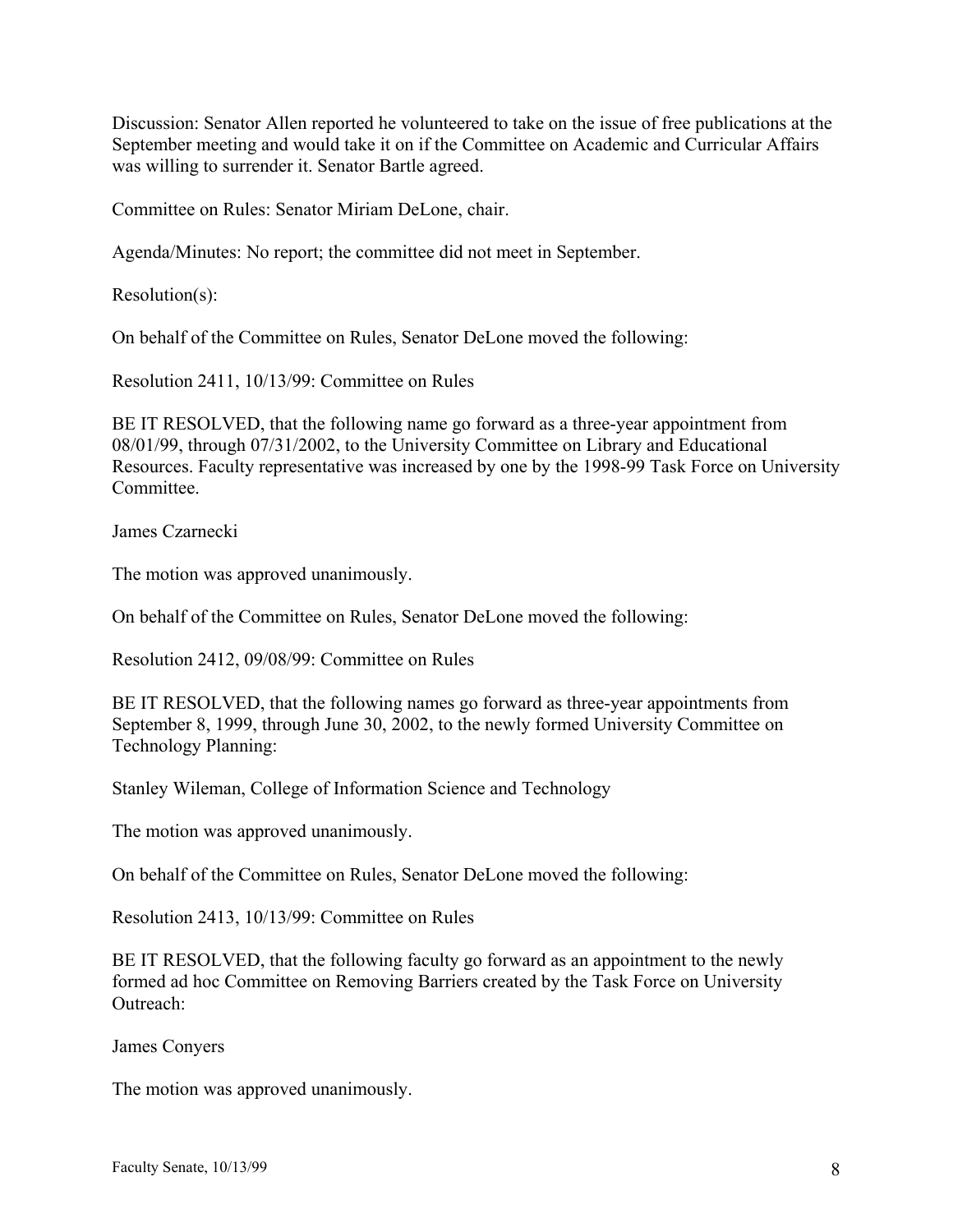Discussion: Senator Allen reported he volunteered to take on the issue of free publications at the September meeting and would take it on if the Committee on Academic and Curricular Affairs was willing to surrender it. Senator Bartle agreed.

Committee on Rules: Senator Miriam DeLone, chair.

Agenda/Minutes: No report; the committee did not meet in September.

Resolution(s):

On behalf of the Committee on Rules, Senator DeLone moved the following:

Resolution 2411, 10/13/99: Committee on Rules

BE IT RESOLVED, that the following name go forward as a three-year appointment from 08/01/99, through 07/31/2002, to the University Committee on Library and Educational Resources. Faculty representative was increased by one by the 1998-99 Task Force on University Committee.

James Czarnecki

The motion was approved unanimously.

On behalf of the Committee on Rules, Senator DeLone moved the following:

Resolution 2412, 09/08/99: Committee on Rules

BE IT RESOLVED, that the following names go forward as three-year appointments from September 8, 1999, through June 30, 2002, to the newly formed University Committee on Technology Planning:

Stanley Wileman, College of Information Science and Technology

The motion was approved unanimously.

On behalf of the Committee on Rules, Senator DeLone moved the following:

Resolution 2413, 10/13/99: Committee on Rules

BE IT RESOLVED, that the following faculty go forward as an appointment to the newly formed ad hoc Committee on Removing Barriers created by the Task Force on University Outreach:

James Conyers

The motion was approved unanimously.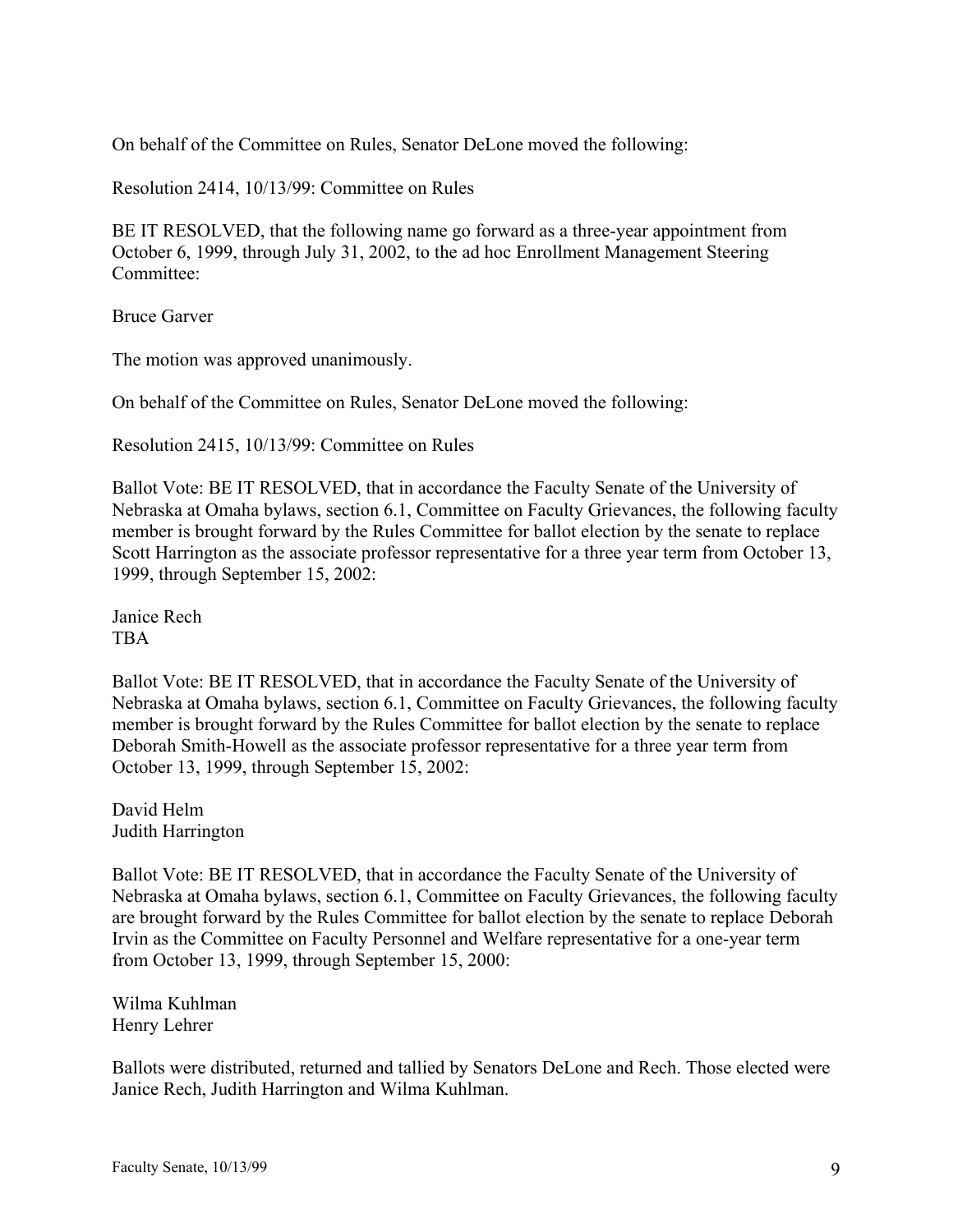On behalf of the Committee on Rules, Senator DeLone moved the following:

Resolution 2414, 10/13/99: Committee on Rules

BE IT RESOLVED, that the following name go forward as a three-year appointment from October 6, 1999, through July 31, 2002, to the ad hoc Enrollment Management Steering Committee:

Bruce Garver

The motion was approved unanimously.

On behalf of the Committee on Rules, Senator DeLone moved the following:

Resolution 2415, 10/13/99: Committee on Rules

Ballot Vote: BE IT RESOLVED, that in accordance the Faculty Senate of the University of Nebraska at Omaha bylaws, section 6.1, Committee on Faculty Grievances, the following faculty member is brought forward by the Rules Committee for ballot election by the senate to replace Scott Harrington as the associate professor representative for a three year term from October 13, 1999, through September 15, 2002:

Janice Rech TBA

Ballot Vote: BE IT RESOLVED, that in accordance the Faculty Senate of the University of Nebraska at Omaha bylaws, section 6.1, Committee on Faculty Grievances, the following faculty member is brought forward by the Rules Committee for ballot election by the senate to replace Deborah Smith-Howell as the associate professor representative for a three year term from October 13, 1999, through September 15, 2002:

David Helm Judith Harrington

Ballot Vote: BE IT RESOLVED, that in accordance the Faculty Senate of the University of Nebraska at Omaha bylaws, section 6.1, Committee on Faculty Grievances, the following faculty are brought forward by the Rules Committee for ballot election by the senate to replace Deborah Irvin as the Committee on Faculty Personnel and Welfare representative for a one-year term from October 13, 1999, through September 15, 2000:

Wilma Kuhlman Henry Lehrer

Ballots were distributed, returned and tallied by Senators DeLone and Rech. Those elected were Janice Rech, Judith Harrington and Wilma Kuhlman.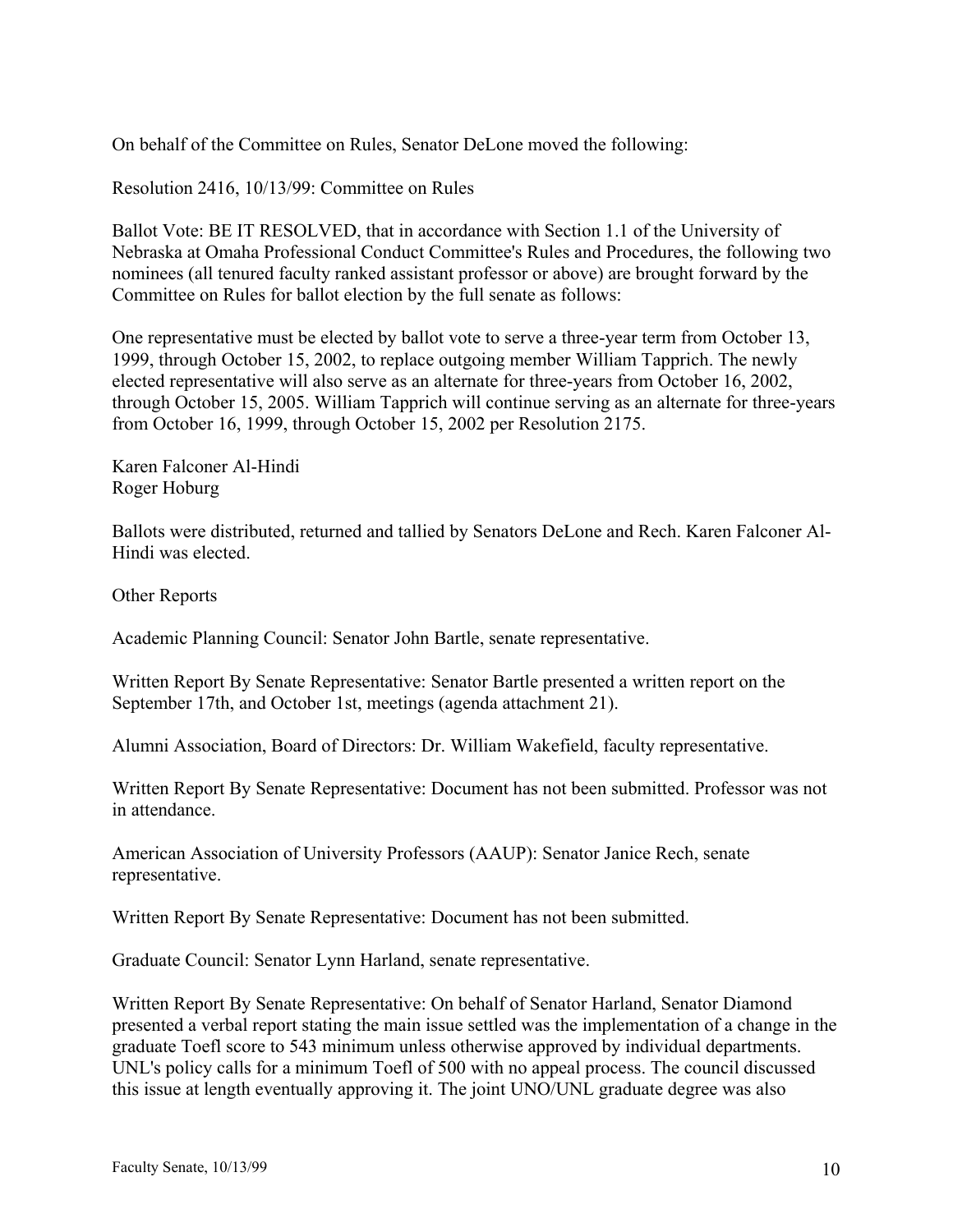On behalf of the Committee on Rules, Senator DeLone moved the following:

Resolution 2416, 10/13/99: Committee on Rules

Ballot Vote: BE IT RESOLVED, that in accordance with Section 1.1 of the University of Nebraska at Omaha Professional Conduct Committee's Rules and Procedures, the following two nominees (all tenured faculty ranked assistant professor or above) are brought forward by the Committee on Rules for ballot election by the full senate as follows:

One representative must be elected by ballot vote to serve a three-year term from October 13, 1999, through October 15, 2002, to replace outgoing member William Tapprich. The newly elected representative will also serve as an alternate for three-years from October 16, 2002, through October 15, 2005. William Tapprich will continue serving as an alternate for three-years from October 16, 1999, through October 15, 2002 per Resolution 2175.

Karen Falconer Al-Hindi Roger Hoburg

Ballots were distributed, returned and tallied by Senators DeLone and Rech. Karen Falconer Al-Hindi was elected.

Other Reports

Academic Planning Council: Senator John Bartle, senate representative.

Written Report By Senate Representative: Senator Bartle presented a written report on the September 17th, and October 1st, meetings (agenda attachment 21).

Alumni Association, Board of Directors: Dr. William Wakefield, faculty representative.

Written Report By Senate Representative: Document has not been submitted. Professor was not in attendance.

American Association of University Professors (AAUP): Senator Janice Rech, senate representative.

Written Report By Senate Representative: Document has not been submitted.

Graduate Council: Senator Lynn Harland, senate representative.

Written Report By Senate Representative: On behalf of Senator Harland, Senator Diamond presented a verbal report stating the main issue settled was the implementation of a change in the graduate Toefl score to 543 minimum unless otherwise approved by individual departments. UNL's policy calls for a minimum Toefl of 500 with no appeal process. The council discussed this issue at length eventually approving it. The joint UNO/UNL graduate degree was also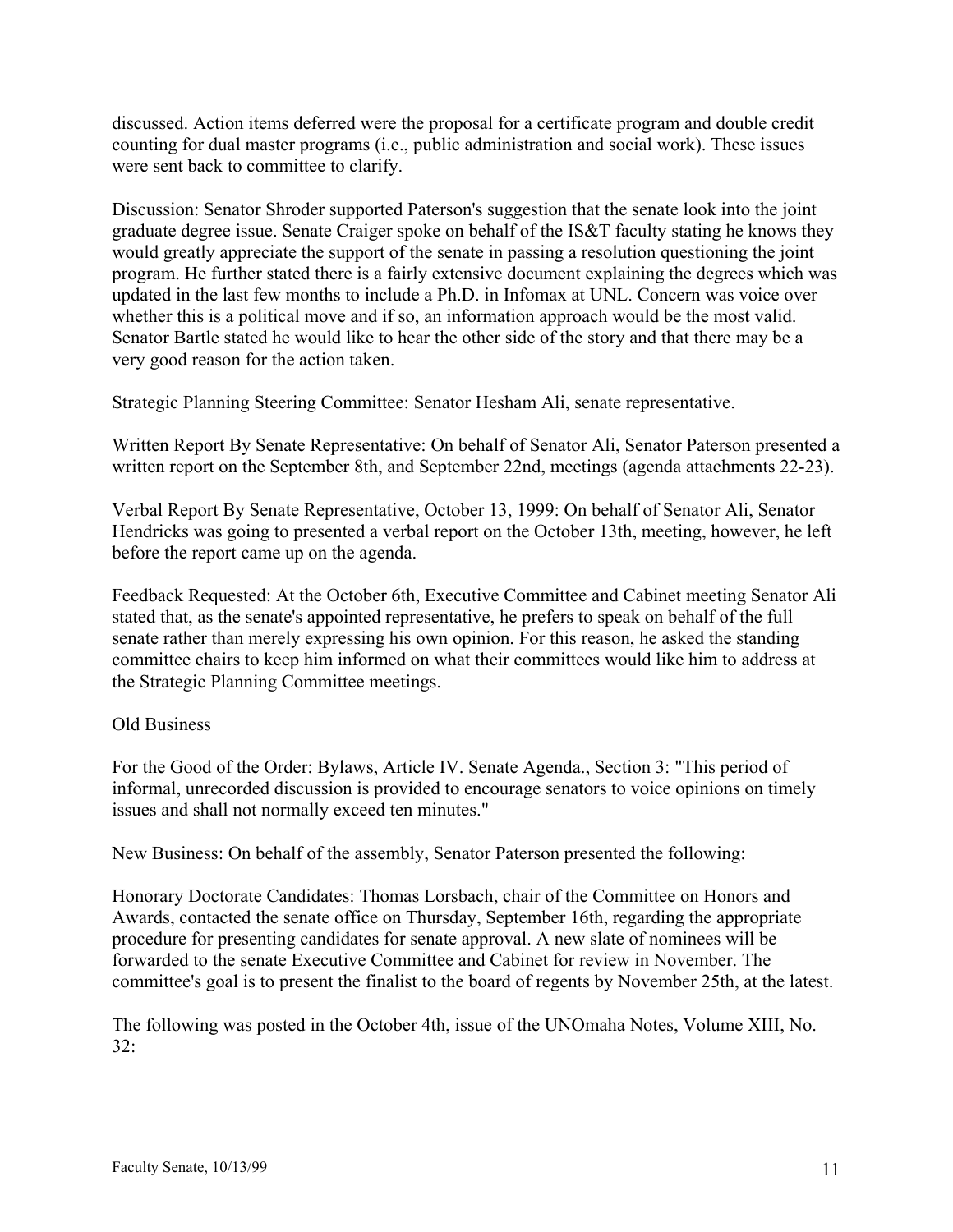discussed. Action items deferred were the proposal for a certificate program and double credit counting for dual master programs (i.e., public administration and social work). These issues were sent back to committee to clarify.

Discussion: Senator Shroder supported Paterson's suggestion that the senate look into the joint graduate degree issue. Senate Craiger spoke on behalf of the IS&T faculty stating he knows they would greatly appreciate the support of the senate in passing a resolution questioning the joint program. He further stated there is a fairly extensive document explaining the degrees which was updated in the last few months to include a Ph.D. in Infomax at UNL. Concern was voice over whether this is a political move and if so, an information approach would be the most valid. Senator Bartle stated he would like to hear the other side of the story and that there may be a very good reason for the action taken.

Strategic Planning Steering Committee: Senator Hesham Ali, senate representative.

Written Report By Senate Representative: On behalf of Senator Ali, Senator Paterson presented a written report on the September 8th, and September 22nd, meetings (agenda attachments 22-23).

Verbal Report By Senate Representative, October 13, 1999: On behalf of Senator Ali, Senator Hendricks was going to presented a verbal report on the October 13th, meeting, however, he left before the report came up on the agenda.

Feedback Requested: At the October 6th, Executive Committee and Cabinet meeting Senator Ali stated that, as the senate's appointed representative, he prefers to speak on behalf of the full senate rather than merely expressing his own opinion. For this reason, he asked the standing committee chairs to keep him informed on what their committees would like him to address at the Strategic Planning Committee meetings.

### Old Business

For the Good of the Order: Bylaws, Article IV. Senate Agenda., Section 3: "This period of informal, unrecorded discussion is provided to encourage senators to voice opinions on timely issues and shall not normally exceed ten minutes."

New Business: On behalf of the assembly, Senator Paterson presented the following:

Honorary Doctorate Candidates: Thomas Lorsbach, chair of the Committee on Honors and Awards, contacted the senate office on Thursday, September 16th, regarding the appropriate procedure for presenting candidates for senate approval. A new slate of nominees will be forwarded to the senate Executive Committee and Cabinet for review in November. The committee's goal is to present the finalist to the board of regents by November 25th, at the latest.

The following was posted in the October 4th, issue of the UNOmaha Notes, Volume XIII, No. 32: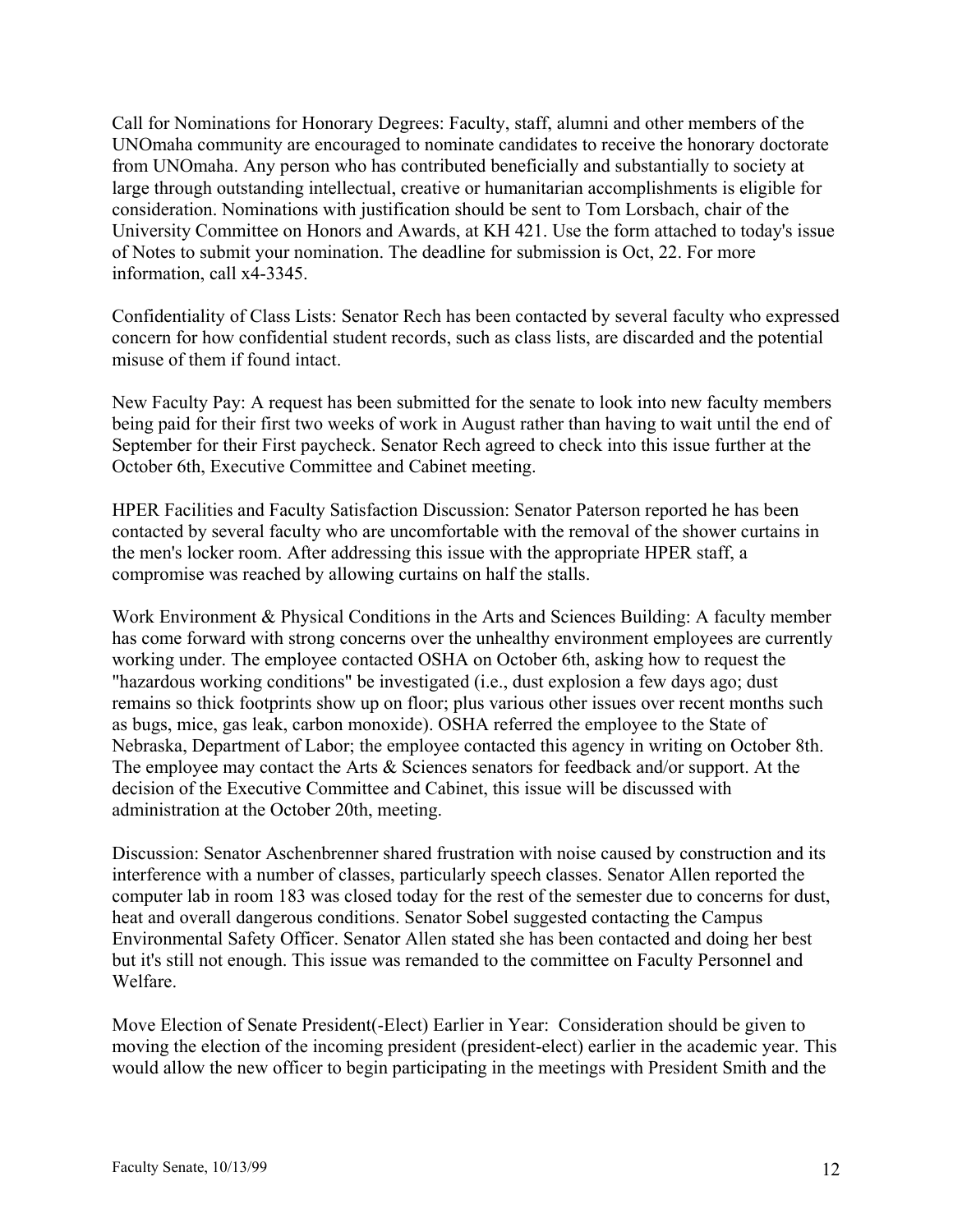Call for Nominations for Honorary Degrees: Faculty, staff, alumni and other members of the UNOmaha community are encouraged to nominate candidates to receive the honorary doctorate from UNOmaha. Any person who has contributed beneficially and substantially to society at large through outstanding intellectual, creative or humanitarian accomplishments is eligible for consideration. Nominations with justification should be sent to Tom Lorsbach, chair of the University Committee on Honors and Awards, at KH 421. Use the form attached to today's issue of Notes to submit your nomination. The deadline for submission is Oct, 22. For more information, call x4-3345.

Confidentiality of Class Lists: Senator Rech has been contacted by several faculty who expressed concern for how confidential student records, such as class lists, are discarded and the potential misuse of them if found intact.

New Faculty Pay: A request has been submitted for the senate to look into new faculty members being paid for their first two weeks of work in August rather than having to wait until the end of September for their First paycheck. Senator Rech agreed to check into this issue further at the October 6th, Executive Committee and Cabinet meeting.

HPER Facilities and Faculty Satisfaction Discussion: Senator Paterson reported he has been contacted by several faculty who are uncomfortable with the removal of the shower curtains in the men's locker room. After addressing this issue with the appropriate HPER staff, a compromise was reached by allowing curtains on half the stalls.

Work Environment & Physical Conditions in the Arts and Sciences Building: A faculty member has come forward with strong concerns over the unhealthy environment employees are currently working under. The employee contacted OSHA on October 6th, asking how to request the "hazardous working conditions" be investigated (i.e., dust explosion a few days ago; dust remains so thick footprints show up on floor; plus various other issues over recent months such as bugs, mice, gas leak, carbon monoxide). OSHA referred the employee to the State of Nebraska, Department of Labor; the employee contacted this agency in writing on October 8th. The employee may contact the Arts & Sciences senators for feedback and/or support. At the decision of the Executive Committee and Cabinet, this issue will be discussed with administration at the October 20th, meeting.

Discussion: Senator Aschenbrenner shared frustration with noise caused by construction and its interference with a number of classes, particularly speech classes. Senator Allen reported the computer lab in room 183 was closed today for the rest of the semester due to concerns for dust, heat and overall dangerous conditions. Senator Sobel suggested contacting the Campus Environmental Safety Officer. Senator Allen stated she has been contacted and doing her best but it's still not enough. This issue was remanded to the committee on Faculty Personnel and Welfare.

Move Election of Senate President(-Elect) Earlier in Year: Consideration should be given to moving the election of the incoming president (president-elect) earlier in the academic year. This would allow the new officer to begin participating in the meetings with President Smith and the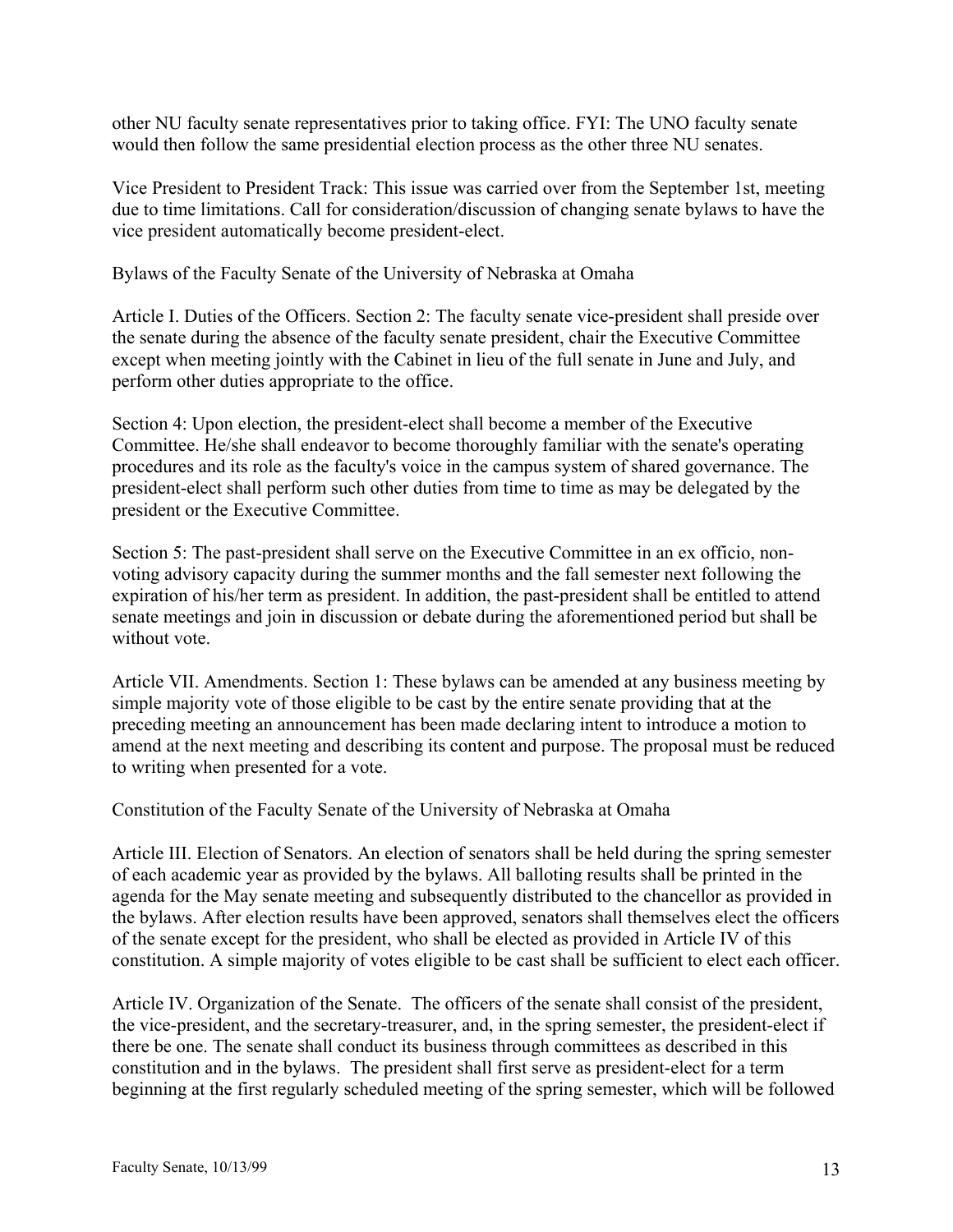other NU faculty senate representatives prior to taking office. FYI: The UNO faculty senate would then follow the same presidential election process as the other three NU senates.

Vice President to President Track: This issue was carried over from the September 1st, meeting due to time limitations. Call for consideration/discussion of changing senate bylaws to have the vice president automatically become president-elect.

Bylaws of the Faculty Senate of the University of Nebraska at Omaha

Article I. Duties of the Officers. Section 2: The faculty senate vice-president shall preside over the senate during the absence of the faculty senate president, chair the Executive Committee except when meeting jointly with the Cabinet in lieu of the full senate in June and July, and perform other duties appropriate to the office.

Section 4: Upon election, the president-elect shall become a member of the Executive Committee. He/she shall endeavor to become thoroughly familiar with the senate's operating procedures and its role as the faculty's voice in the campus system of shared governance. The president-elect shall perform such other duties from time to time as may be delegated by the president or the Executive Committee.

Section 5: The past-president shall serve on the Executive Committee in an ex officio, nonvoting advisory capacity during the summer months and the fall semester next following the expiration of his/her term as president. In addition, the past-president shall be entitled to attend senate meetings and join in discussion or debate during the aforementioned period but shall be without vote.

Article VII. Amendments. Section 1: These bylaws can be amended at any business meeting by simple majority vote of those eligible to be cast by the entire senate providing that at the preceding meeting an announcement has been made declaring intent to introduce a motion to amend at the next meeting and describing its content and purpose. The proposal must be reduced to writing when presented for a vote.

Constitution of the Faculty Senate of the University of Nebraska at Omaha

Article III. Election of Senators. An election of senators shall be held during the spring semester of each academic year as provided by the bylaws. All balloting results shall be printed in the agenda for the May senate meeting and subsequently distributed to the chancellor as provided in the bylaws. After election results have been approved, senators shall themselves elect the officers of the senate except for the president, who shall be elected as provided in Article IV of this constitution. A simple majority of votes eligible to be cast shall be sufficient to elect each officer.

Article IV. Organization of the Senate. The officers of the senate shall consist of the president, the vice-president, and the secretary-treasurer, and, in the spring semester, the president-elect if there be one. The senate shall conduct its business through committees as described in this constitution and in the bylaws. The president shall first serve as president-elect for a term beginning at the first regularly scheduled meeting of the spring semester, which will be followed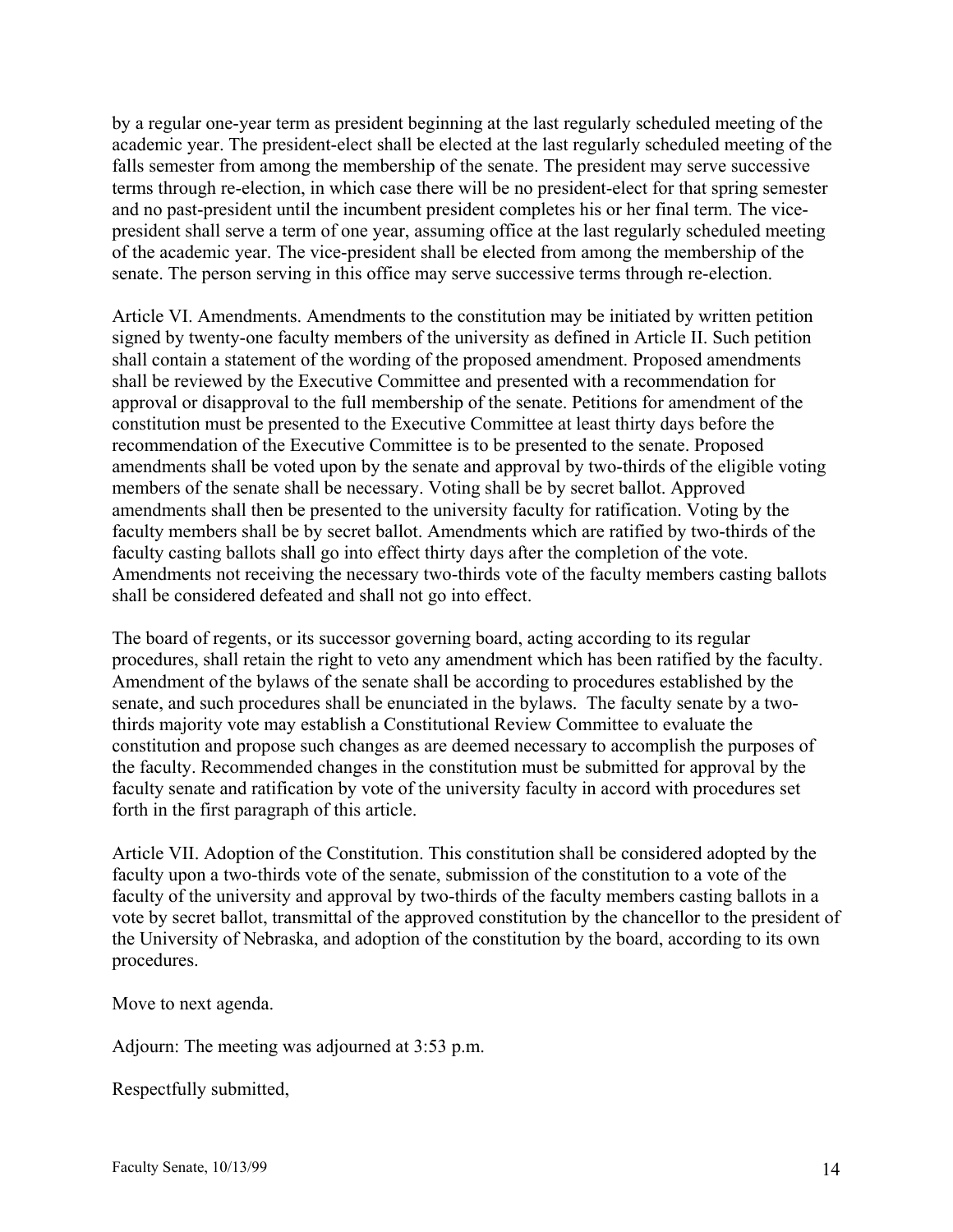by a regular one-year term as president beginning at the last regularly scheduled meeting of the academic year. The president-elect shall be elected at the last regularly scheduled meeting of the falls semester from among the membership of the senate. The president may serve successive terms through re-election, in which case there will be no president-elect for that spring semester and no past-president until the incumbent president completes his or her final term. The vicepresident shall serve a term of one year, assuming office at the last regularly scheduled meeting of the academic year. The vice-president shall be elected from among the membership of the senate. The person serving in this office may serve successive terms through re-election.

Article VI. Amendments. Amendments to the constitution may be initiated by written petition signed by twenty-one faculty members of the university as defined in Article II. Such petition shall contain a statement of the wording of the proposed amendment. Proposed amendments shall be reviewed by the Executive Committee and presented with a recommendation for approval or disapproval to the full membership of the senate. Petitions for amendment of the constitution must be presented to the Executive Committee at least thirty days before the recommendation of the Executive Committee is to be presented to the senate. Proposed amendments shall be voted upon by the senate and approval by two-thirds of the eligible voting members of the senate shall be necessary. Voting shall be by secret ballot. Approved amendments shall then be presented to the university faculty for ratification. Voting by the faculty members shall be by secret ballot. Amendments which are ratified by two-thirds of the faculty casting ballots shall go into effect thirty days after the completion of the vote. Amendments not receiving the necessary two-thirds vote of the faculty members casting ballots shall be considered defeated and shall not go into effect.

The board of regents, or its successor governing board, acting according to its regular procedures, shall retain the right to veto any amendment which has been ratified by the faculty. Amendment of the bylaws of the senate shall be according to procedures established by the senate, and such procedures shall be enunciated in the bylaws. The faculty senate by a twothirds majority vote may establish a Constitutional Review Committee to evaluate the constitution and propose such changes as are deemed necessary to accomplish the purposes of the faculty. Recommended changes in the constitution must be submitted for approval by the faculty senate and ratification by vote of the university faculty in accord with procedures set forth in the first paragraph of this article.

Article VII. Adoption of the Constitution. This constitution shall be considered adopted by the faculty upon a two-thirds vote of the senate, submission of the constitution to a vote of the faculty of the university and approval by two-thirds of the faculty members casting ballots in a vote by secret ballot, transmittal of the approved constitution by the chancellor to the president of the University of Nebraska, and adoption of the constitution by the board, according to its own procedures.

Move to next agenda.

Adjourn: The meeting was adjourned at 3:53 p.m.

Respectfully submitted,